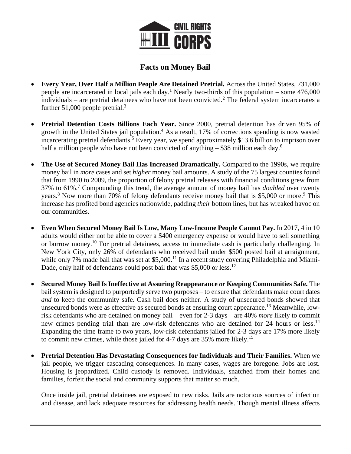

## **Facts on Money Bail**

- **Every Year, Over Half a Million People Are Detained Pretrial.** Across the United States, 731,000 people are incarcerated in local jails each day.<sup>1</sup> Nearly two-thirds of this population – some  $476,000$ individuals – are pretrial detainees who have not been convicted.<sup>2</sup> The federal system incarcerates a further  $51,000$  people pretrial.<sup>3</sup>
- **Pretrial Detention Costs Billions Each Year.** Since 2000, pretrial detention has driven 95% of growth in the United States jail population.<sup>4</sup> As a result, 17% of corrections spending is now wasted incarcerating pretrial defendants.<sup>5</sup> Every year, we spend approximately \$13.6 billion to imprison over half a million people who have not been convicted of anything  $-$  \$38 million each day.<sup>6</sup>
- **The Use of Secured Money Bail Has Increased Dramatically.** Compared to the 1990s, we require money bail in *more* cases and set *higher* money bail amounts. A study of the 75 largest counties found that from 1990 to 2009, the proportion of felony pretrial releases with financial conditions grew from 37% to 61%.<sup>7</sup> Compounding this trend, the average amount of money bail has *doubled* over twenty years.<sup>8</sup> Now more than 70% of felony defendants receive money bail that is \$5,000 or more.<sup>9</sup> This increase has profited bond agencies nationwide, padding *their* bottom lines, but has wreaked havoc on our communities.
- **Even When Secured Money Bail Is Low, Many Low-Income People Cannot Pay.** In 2017, 4 in 10 adults would either not be able to cover a \$400 emergency expense or would have to sell something or borrow money.<sup>10</sup> For pretrial detainees, access to immediate cash is particularly challenging. In New York City, only 26% of defendants who received bail under \$500 posted bail at arraignment, while only 7% made bail that was set at \$5,000.<sup>11</sup> In a recent study covering Philadelphia and Miami-Dade, only half of defendants could post bail that was \$5,000 or less.<sup>12</sup>
- **Secured Money Bail Is Ineffective at Assuring Reappearance** *or* **Keeping Communities Safe.** The bail system is designed to purportedly serve two purposes – to ensure that defendants make court dates *and* to keep the community safe. Cash bail does neither. A study of unsecured bonds showed that unsecured bonds were as effective as secured bonds at ensuring court appearance.<sup>13</sup> Meanwhile, lowrisk defendants who are detained on money bail – even for 2-3 days – are 40% *more* likely to commit new crimes pending trial than are low-risk defendants who are detained for 24 hours or less.<sup>14</sup> Expanding the time frame to two years, low-risk defendants jailed for 2-3 days are 17% more likely to commit new crimes, while those jailed for 4-7 days are 35% more likely.<sup>15</sup>
- **Pretrial Detention Has Devastating Consequences for Individuals and Their Families.** When we jail people, we trigger cascading consequences. In many cases, wages are foregone. Jobs are lost. Housing is jeopardized. Child custody is removed. Individuals, snatched from their homes and families, forfeit the social and community supports that matter so much.

Once inside jail, pretrial detainees are exposed to new risks. Jails are notorious sources of infection and disease, and lack adequate resources for addressing health needs. Though mental illness affects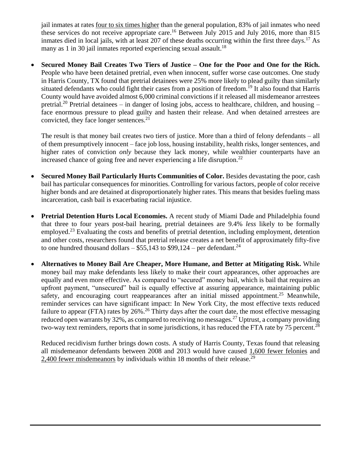jail inmates at rates four to six times higher than the general population, 83% of jail inmates who need these services do not receive appropriate care.<sup>16</sup> Between July 2015 and July 2016, more than 815 inmates died in local jails, with at least 207 of these deaths occurring within the first three days.<sup>17</sup> As many as 1 in 30 jail inmates reported experiencing sexual assault.<sup>18</sup>

• **Secured Money Bail Creates Two Tiers of Justice – One for the Poor and One for the Rich.**  People who have been detained pretrial, even when innocent, suffer worse case outcomes. One study in Harris County, TX found that pretrial detainees were 25% more likely to plead guilty than similarly situated defendants who could fight their cases from a position of freedom.<sup>19</sup> It also found that Harris County would have avoided almost 6,000 criminal convictions if it released all misdemeanor arrestees pretrial.<sup>20</sup> Pretrial detainees – in danger of losing jobs, access to healthcare, children, and housing – face enormous pressure to plead guilty and hasten their release. And when detained arrestees are convicted, they face longer sentences.<sup>21</sup>

The result is that money bail creates two tiers of justice. More than a third of felony defendants – all of them presumptively innocent – face job loss, housing instability, health risks, longer sentences, and higher rates of conviction *only* because they lack money, while wealthier counterparts have an increased chance of going free and never experiencing a life disruption.<sup>22</sup>

- **Secured Money Bail Particularly Hurts Communities of Color.** Besides devastating the poor, cash bail has particular consequences for minorities. Controlling for various factors, people of color receive higher bonds and are detained at disproportionately higher rates. This means that besides fueling mass incarceration, cash bail is exacerbating racial injustice.
- **Pretrial Detention Hurts Local Economies.** A recent study of Miami Dade and Philadelphia found that three to four years post-bail hearing, pretrial detainees are 9.4% *less* likely to be formally employed.<sup>23</sup> Evaluating the costs and benefits of pretrial detention, including employment, detention and other costs, researchers found that pretrial release creates a net benefit of approximately fifty-five to one hundred thousand dollars –  $$55,143$  to  $$99,124$  – per defendant.<sup>24</sup>
- **Alternatives to Money Bail Are Cheaper, More Humane, and Better at Mitigating Risk.** While money bail may make defendants less likely to make their court appearances, other approaches are equally and even more effective. As compared to "secured" money bail, which is bail that requires an upfront payment, "unsecured" bail is equally effective at assuring appearance, maintaining public safety, and encouraging court reappearances after an initial missed appointment.<sup>25</sup> Meanwhile, reminder services can have significant impact: In New York City, the most effective texts reduced failure to appear (FTA) rates by 26%.<sup>26</sup> Thirty days after the court date, the most effective messaging reduced open warrants by 32%, as compared to receiving no messages.<sup>27</sup> Uptrust, a company providing two-way text reminders, reports that in some jurisdictions, it has reduced the FTA rate by 75 percent.<sup>28</sup>

Reduced recidivism further brings down costs. A study of Harris County, Texas found that releasing all misdemeanor defendants between 2008 and 2013 would have caused 1,600 fewer felonies and 2,400 fewer misdemeanors by individuals within 18 months of their release.<sup>29</sup>